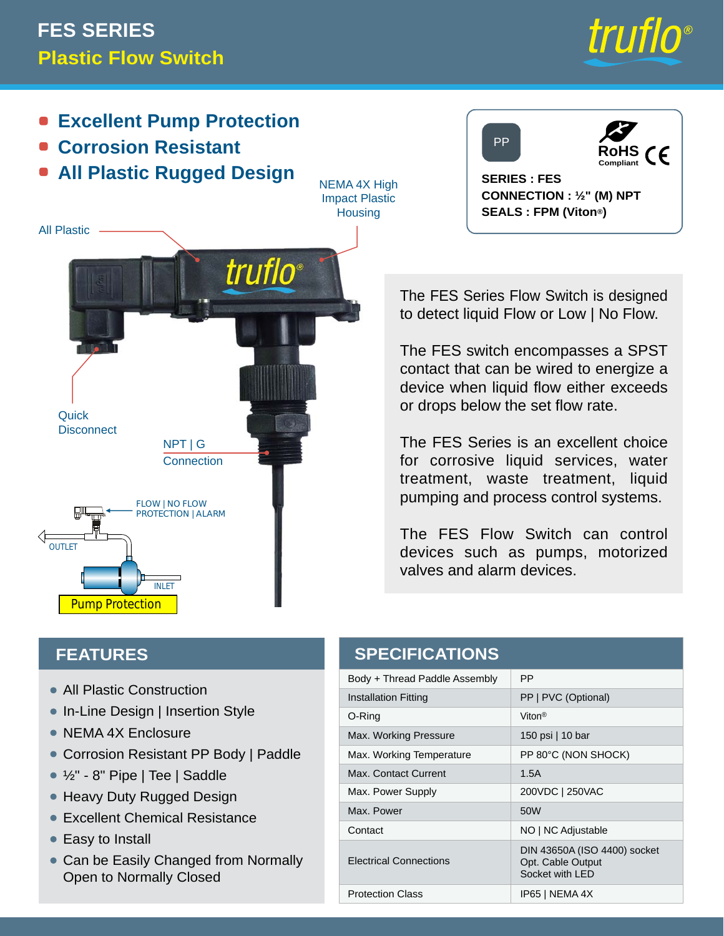## **Plastic Flow Switch FES SERIES**



- **Excellent Pump Protection**
- **Corrosion Resistant**
- **All Plastic Rugged Design**

NEMA 4X High Impact Plastic **Housing** 

*truflo*®





**SERIES : FES CONNECTION : ½" (M) NPT SEALS : FPM (Viton®)**

The FES Series Flow Switch is designed to detect liquid Flow or Low | No Flow.

The FES switch encompasses a SPST contact that can be wired to energize a device when liquid flow either exceeds or drops below the set flow rate.

The FES Series is an excellent choice for corrosive liquid services, water treatment, waste treatment, liquid pumping and process control systems.

The FES Flow Switch can control devices such as pumps, motorized valves and alarm devices.

| <b>SPECIFICATIONS</b>         |                                                                       |
|-------------------------------|-----------------------------------------------------------------------|
| Body + Thread Paddle Assembly | <b>PP</b>                                                             |
| <b>Installation Fitting</b>   | PP   PVC (Optional)                                                   |
| O-Ring                        | Viton <sup>®</sup>                                                    |
| Max. Working Pressure         | 150 psi   10 bar                                                      |
| Max. Working Temperature      | PP 80°C (NON SHOCK)                                                   |
| Max. Contact Current          | 1.5A                                                                  |
| Max. Power Supply             | 200VDC   250VAC                                                       |
| Max. Power                    | 50 <sub>W</sub>                                                       |
| Contact                       | NO   NC Adjustable                                                    |
| <b>Electrical Connections</b> | DIN 43650A (ISO 4400) socket<br>Opt. Cable Output<br>Socket with I FD |
| <b>Protection Class</b>       | IP65   NEMA 4X                                                        |

## **FEATURES**

Pump Protection

**Quick Disconnect** 

OUTLET

⇐

All Plastic

- All Plastic Construction
- In-Line Design | Insertion Style
- NEMA 4X Enclosure
- Corrosion Resistant PP Body | Paddle •

NPT | G **Connection** 

FLOW | NO FLOW PROTECTION | ALARM

INLET

- ½" 8" Pipe | Tee | Saddle •
- Heavy Duty Rugged Design
- Excellent Chemical Resistance •
- Easy to Install
- Can be Easily Changed from Normally Open to Normally Closed